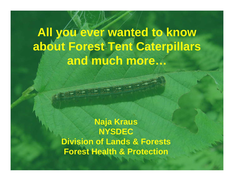## **All you ever wanted to know about Forest Tent Caterpillars and much more…**

**Naja Kraus NYSDEC Division of Lands & Forests Forest Health & Protection**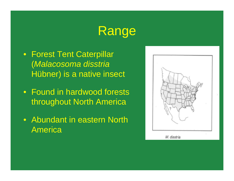### Range

- Forest Tent Caterpillar (*Malacosoma disstria*  Hübner) is a native insect
- Found in hardwood forests throughout North America
- Abundant in eastern North **America**

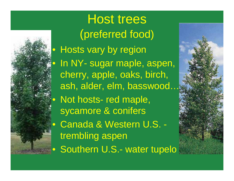

Host trees (preferred food) Hosts vary by region In NY- sugar maple, aspen, cherry, apple, oaks, birch, ash, alder, elm, basswood… Not hosts- red maple, sycamore & conifers • Canada & Western U.S. trembling aspen Southern U.S.- water tupelo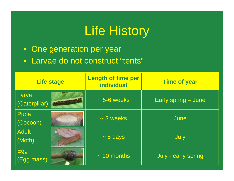## Life History

- One generation per year
- Larvae do not construct "tents"

| <b>Life stage</b>      |  | <b>Length of time per</b><br><b>individual</b> | <b>Time of year</b> |
|------------------------|--|------------------------------------------------|---------------------|
| Larva<br>(Caterpillar) |  | $\sim$ 5-6 weeks                               | Early spring – June |
| Pupa<br>(Cocoon)       |  | $\sim$ 3 weeks                                 | June                |
| <b>Adult</b><br>(Moth) |  | $\sim$ 5 days                                  | July                |
| Egg<br>(Egg mass)      |  | $\sim$ 10 months                               | July - early spring |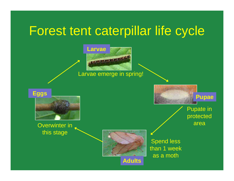### Forest tent caterpillar life cycle



#### Larvae emerge in spring!



#### Overwinter in this stage



Spend less than 1 week as a moth

Pupate in protected area

**Pupae**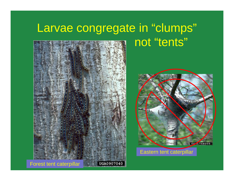### Larvae congregate in "clumps" not "tents"



**NV 4748005** 

Eastern tent caterpillar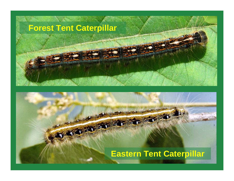### **Forest Tent Caterpillar**

**TYPE 21** 

#### **Eastern Tent Caterpillar**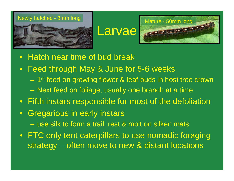

### Larvae



- Hatch near time of bud break
- Feed through May & June for 5-6 weeks
	- 1<sup>st</sup> feed on growing flower & leaf buds in host tree crown
	- Next feed on foliage, usually one branch at a time
- Fifth instars responsible for most of the defoliation
- $\bullet$  Gregarious in early instars use silk to form a trail, rest & molt on silken mats
- FTC only tent caterpillars to use nomadic foraging strategy – often move to new & distant locations silken mat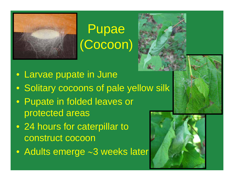

# Pupae (Cocoon)



- Larvae pupate in June
- Solitary cocoons of pale yellow silk
- Pupate in folded leaves or protected areas
- 24 hours for caterpillar to construct cocoon
- Adults emerge ∼3 weeks later

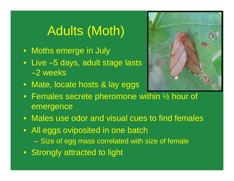# Adults (Moth)

- Moths emerge in July
- Live <sup>∼</sup>5 days, adult stage lasts ∼2 weeks



- Mate, locate hosts & lay eggs
- Females secrete pheromone within ½ hour of emergence
- Males use odor and visual cues to find females
- All eggs oviposited in one batch –Size of egg mass correlated with size of female
- Strongly attracted to light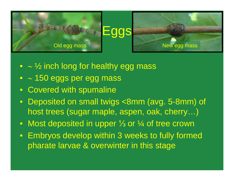

- <sup>∼</sup> ½ inch long for healthy egg mass
- <sup>∼</sup> 150 eggs per egg mass
- Covered with spumaline
- Deposited on small twigs <8mm (avg. 5-8mm) of host trees (sugar maple, aspen, oak, cherry…)
- Most deposited in upper ⅓ or ¼ of tree crown
- Embryos develop within 3 weeks to fully formed pharate larvae & overwinter in this stage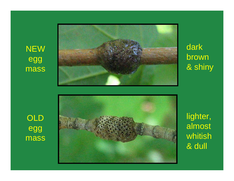NEW egg mass



dark brown & shiny





lighter, almost whitish & dull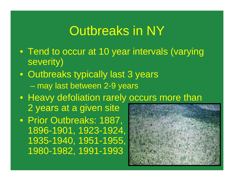### Outbreaks in NY

- Tend to occur at 10 year intervals (varying severity)
- Outbreaks typically last 3 years  $\mathcal{L}_{\mathcal{A}}$  , and the set of the set of the set of the set of the set of the set of the set of the set of the set of the set of the set of the set of the set of the set of the set of the set of the set of the set of th may last between 2-9 years
- Heavy defoliation rarely occurs more than 2 years at a given site
- Prior Outbreaks: 1887, 1896-1901, 1923-1924, 1935-1940, 1951-1955, 1980-1982, 1991-1993

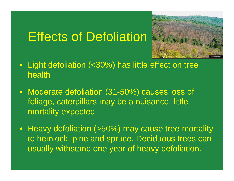## Effects of Defoliation



- Light defoliation (<30%) has little effect on tree health
- Moderate defoliation (31-50%) causes loss of foliage, caterpillars may be a nuisance, little mortality expected
- Heavy defoliation (>50%) may cause tree mortality to hemlock, pine and spruce. Deciduous trees can usually withstand one year of heavy defoliation.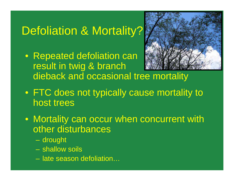### Defoliation & Mortality?

• Repeated defoliation can result in twig & branch dieback and occasional tree mortality



- FTC does not typically cause mortality to host trees
- Mortality can occur when concurrent with other disturbances
	- drought
	- shallow soils
	- late season defoliation…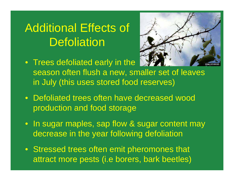### Additional Effects of **Defoliation**

• Trees defoliated early in the



- season often flush a new, smaller set of leaves in July (this uses stored food reserves)
- Defoliated trees often have decreased wood production and food storage
- In sugar maples, sap flow & sugar content may decrease in the year following defoliation
- Stressed trees often emit pheromones that attract more pests (i.e borers, bark beetles)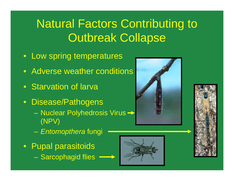### Natural Factors Contributing to **Outbreak Collapse**

- Low spring temperatures
- Adverse weather conditions
- Starvation of larva
- Disease/Pathogens
	- Nuclear Polyhedrosis Virus (NPV)
	- –*Entomopthera* fungi
- Pupal parasitoids Sarcophagid flies